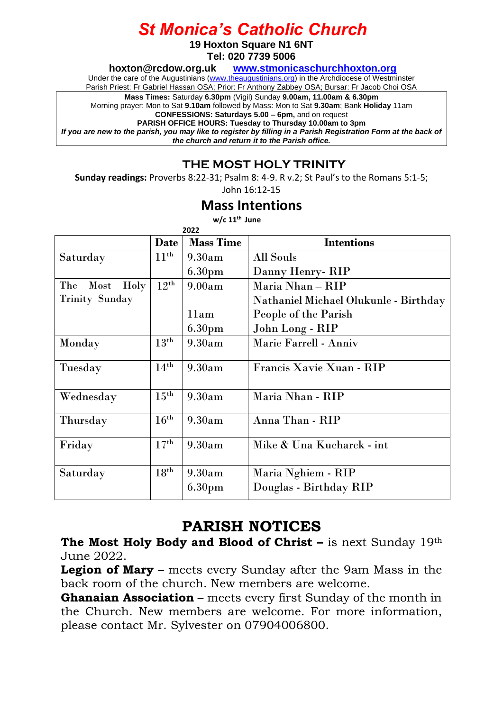## *St Monica's Catholic Church*

**19 Hoxton Square N1 6NT**

**Tel: 020 7739 5006** 

**[hoxton@rcdow.org.uk](mailto:hoxton@rcdow.org.uk) [www.stmonicaschurchhoxton.org](http://www.stmonicaschurchhoxton.org/)**

Under the care of the Augustinians [\(www.theaugustinians.org\)](http://www.theaugustinians.org/) in the Archdiocese of Westminster

Parish Priest: Fr Gabriel Hassan OSA; Prior: Fr Anthony Zabbey OSA; Bursar: Fr Jacob Choi OSA

**Mass Times:** Saturday **6.30pm** (Vigil) Sunday **9.00am, 11.00am & 6.30pm**

Morning prayer: Mon to Sat **9.10am** followed by Mass: Mon to Sat **9.30am**; Bank **Holiday** 11am

**CONFESSIONS: Saturdays 5.00 – 6pm,** and on request **PARISH OFFICE HOURS: Tuesday to Thursday 10.00am to 3pm**

*If you are new to the parish, you may like to register by filling in a Parish Registration Form at the back of the church and return it to the Parish office.*

### **THE MOST HOLY TRINITY**

**Sunday readings:** Proverbs 8:22-31; Psalm 8: 4-9. R v.2; St Paul's to the Romans 5:1-5;

John 16:12-15

#### **Mass Intentions**

**w/c 11th June**

|                     | <b>Date</b>      | <b>Mass Time</b>   | <b>Intentions</b>                     |
|---------------------|------------------|--------------------|---------------------------------------|
| Saturday            | $11^{\text{th}}$ | 9.30am             | All Souls                             |
|                     |                  | 6.30 <sub>pm</sub> | Danny Henry - RIP                     |
| Holy<br>The<br>Most | $12^{\text{th}}$ | 9.00am             | Maria Nhan – RIP                      |
| Trinity Sunday      |                  |                    | Nathaniel Michael Olukunle - Birthday |
|                     |                  | 11am               | People of the Parish                  |
|                     |                  | 6.30 <sub>pm</sub> | John Long - RIP                       |
| Monday              | $13^{\text{th}}$ | 9.30am             | Marie Farrell - Anniv                 |
| Tuesday             | $14^{\text{th}}$ | 9.30am             | Francis Xavie Xuan - RIP              |
| Wednesday           | $15^{\text{th}}$ | 9.30am             | Maria Nhan - RIP                      |
| Thursday            | $16^{\text{th}}$ | 9.30am             | Anna Than - RIP                       |
| Friday              | $17^{\text{th}}$ | 9.30am             | Mike & Una Kucharck - int             |
| Saturday            | $18^{\rm th}$    | 9.30am             | Maria Nghiem - RIP                    |
|                     |                  | 6.30 <sub>pm</sub> | Douglas - Birthday RIP                |
|                     |                  |                    |                                       |

### **PARISH NOTICES**

**The Most Holy Body and Blood of Christ –** is next Sunday 19th June 2022.

**Legion of Mary** – meets every Sunday after the 9am Mass in the back room of the church. New members are welcome.

**Ghanaian Association** – meets every first Sunday of the month in the Church. New members are welcome. For more information, please contact Mr. Sylvester on 07904006800.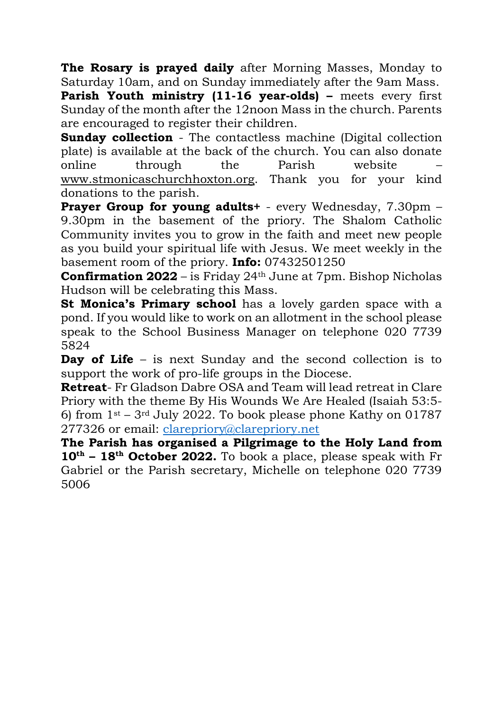**The Rosary is prayed daily** after Morning Masses, Monday to Saturday 10am, and on Sunday immediately after the 9am Mass.

**Parish Youth ministry (11-16 year-olds) –** meets every first Sunday of the month after the 12noon Mass in the church. Parents are encouraged to register their children.

**Sunday collection** - The contactless machine (Digital collection plate) is available at the back of the church. You can also donate online through the Parish website – [www.stmonicaschurchhoxton.org.](http://www.stmonicaschurchhoxton.org/) Thank you for your kind donations to the parish.

**Prayer Group for young adults+** - every Wednesday, 7.30pm – 9.30pm in the basement of the priory. The Shalom Catholic Community invites you to grow in the faith and meet new people as you build your spiritual life with Jesus. We meet weekly in the basement room of the priory. **Info:** 07432501250

**Confirmation 2022** – is Friday 24<sup>th</sup> June at 7pm. Bishop Nicholas Hudson will be celebrating this Mass.

**St Monica's Primary school** has a lovely garden space with a pond. If you would like to work on an allotment in the school please speak to the School Business Manager on telephone 020 7739 5824

**Day of Life** – is next Sunday and the second collection is to support the work of pro-life groups in the Diocese.

**Retreat**- Fr Gladson Dabre OSA and Team will lead retreat in Clare Priory with the theme By His Wounds We Are Healed (Isaiah 53:5- 6) from  $1<sup>st</sup> - 3<sup>rd</sup>$  July 2022. To book please phone Kathy on 01787 277326 or email: [clarepriory@clarepriory.net](mailto:clarepriory@clarepriory.net)

**The Parish has organised a Pilgrimage to the Holy Land from 10th – 18th October 2022.** To book a place, please speak with Fr Gabriel or the Parish secretary, Michelle on telephone 020 7739 5006